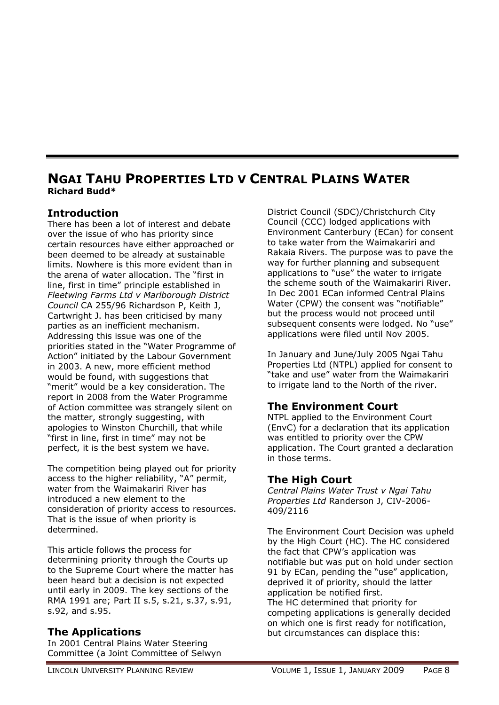# **NGAI TAHU PROPERTIES LTD V CENTRAL PLAINS WATER Richard Budd\***

### **Introduction**

There has been a lot of interest and debate over the issue of who has priority since certain resources have either approached or been deemed to be already at sustainable limits. Nowhere is this more evident than in the arena of water allocation. The "first in line, first in time" principle established in *Fleetwing Farms Ltd v Marlborough District Council* CA 255/96 Richardson P, Keith J, Cartwright J. has been criticised by many parties as an inefficient mechanism. Addressing this issue was one of the priorities stated in the "Water Programme of Action" initiated by the Labour Government in 2003. A new, more efficient method would be found, with suggestions that "merit" would be a key consideration. The report in 2008 from the Water Programme of Action committee was strangely silent on the matter, strongly suggesting, with apologies to Winston Churchill, that while "first in line, first in time" may not be perfect, it is the best system we have.

The competition being played out for priority access to the higher reliability, "A" permit, water from the Waimakariri River has introduced a new element to the consideration of priority access to resources. That is the issue of when priority is determined.

This article follows the process for determining priority through the Courts up to the Supreme Court where the matter has been heard but a decision is not expected until early in 2009. The key sections of the RMA 1991 are; Part II s.5, s.21, s.37, s.91, s.92, and s.95.

#### **The Applications**

In 2001 Central Plains Water Steering Committee (a Joint Committee of Selwyn District Council (SDC)/Christchurch City Council (CCC) lodged applications with Environment Canterbury (ECan) for consent to take water from the Waimakariri and Rakaia Rivers. The purpose was to pave the way for further planning and subsequent applications to "use" the water to irrigate the scheme south of the Waimakariri River. In Dec 2001 ECan informed Central Plains Water (CPW) the consent was "notifiable" but the process would not proceed until subsequent consents were lodged. No "use" applications were filed until Nov 2005.

In January and June/July 2005 Ngai Tahu Properties Ltd (NTPL) applied for consent to "take and use" water from the Waimakariri to irrigate land to the North of the river.

# **The Environment Court**

NTPL applied to the Environment Court (EnvC) for a declaration that its application was entitled to priority over the CPW application. The Court granted a declaration in those terms.

## **The High Court**

*Central Plains Water Trust v Ngai Tahu Properties Ltd* Randerson J, CIV-2006- 409/2116

The Environment Court Decision was upheld by the High Court (HC). The HC considered the fact that CPW's application was notifiable but was put on hold under section 91 by ECan, pending the "use" application, deprived it of priority, should the latter application be notified first. The HC determined that priority for competing applications is generally decided on which one is first ready for notification,

but circumstances can displace this: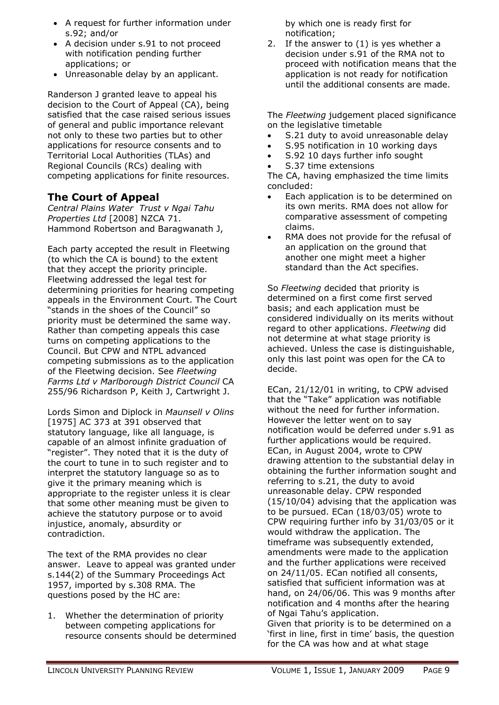- A request for further information under s.92; and/or
- A decision under s.91 to not proceed with notification pending further applications; or
- Unreasonable delay by an applicant.

Randerson J granted leave to appeal his decision to the Court of Appeal (CA), being satisfied that the case raised serious issues of general and public importance relevant not only to these two parties but to other applications for resource consents and to Territorial Local Authorities (TLAs) and Regional Councils (RCs) dealing with competing applications for finite resources.

### **The Court of Appeal**

*Central Plains Water Trust v Ngai Tahu Properties Ltd* [2008] NZCA 71. Hammond Robertson and Baragwanath J,

Each party accepted the result in Fleetwing (to which the CA is bound) to the extent that they accept the priority principle. Fleetwing addressed the legal test for determining priorities for hearing competing appeals in the Environment Court. The Court "stands in the shoes of the Council" so priority must be determined the same way. Rather than competing appeals this case turns on competing applications to the Council. But CPW and NTPL advanced competing submissions as to the application of the Fleetwing decision. See *Fleetwing Farms Ltd v Marlborough District Council* CA 255/96 Richardson P, Keith J, Cartwright J.

Lords Simon and Diplock in *Maunsell v Olins* [1975] AC 373 at 391 observed that statutory language, like all language, is capable of an almost infinite graduation of "register". They noted that it is the duty of the court to tune in to such register and to interpret the statutory language so as to give it the primary meaning which is appropriate to the register unless it is clear that some other meaning must be given to achieve the statutory purpose or to avoid injustice, anomaly, absurdity or contradiction.

The text of the RMA provides no clear answer. Leave to appeal was granted under s.144(2) of the Summary Proceedings Act 1957, imported by s.308 RMA. The questions posed by the HC are:

1. Whether the determination of priority between competing applications for resource consents should be determined

by which one is ready first for notification;

2. If the answer to (1) is yes whether a decision under s.91 of the RMA not to proceed with notification means that the application is not ready for notification until the additional consents are made.

The *Fleetwing* judgement placed significance on the legislative timetable

- S.21 duty to avoid unreasonable delay
- S.95 notification in 10 working days
- S.92 10 days further info sought
- S.37 time extensions

The CA, having emphasized the time limits concluded:

- Each application is to be determined on its own merits. RMA does not allow for comparative assessment of competing claims.
- RMA does not provide for the refusal of an application on the ground that another one might meet a higher standard than the Act specifies.

So *Fleetwing* decided that priority is determined on a first come first served basis; and each application must be considered individually on its merits without regard to other applications. *Fleetwing* did not determine at what stage priority is achieved. Unless the case is distinguishable, only this last point was open for the CA to decide.

ECan, 21/12/01 in writing, to CPW advised that the "Take" application was notifiable without the need for further information. However the letter went on to say notification would be deferred under s.91 as further applications would be required. ECan, in August 2004, wrote to CPW drawing attention to the substantial delay in obtaining the further information sought and referring to s.21, the duty to avoid unreasonable delay. CPW responded (15/10/04) advising that the application was to be pursued. ECan (18/03/05) wrote to CPW requiring further info by 31/03/05 or it would withdraw the application. The timeframe was subsequently extended, amendments were made to the application and the further applications were received on 24/11/05. ECan notified all consents, satisfied that sufficient information was at hand, on 24/06/06. This was 9 months after notification and 4 months after the hearing of Ngai Tahu's application. Given that priority is to be determined on a 'first in line, first in time' basis, the question for the CA was how and at what stage